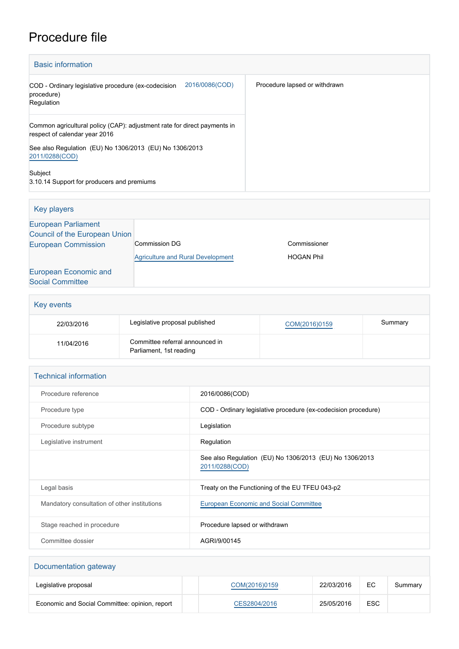## Procedure file

| <b>Basic information</b>                                                                                  |                               |
|-----------------------------------------------------------------------------------------------------------|-------------------------------|
| 2016/0086(COD)<br>COD - Ordinary legislative procedure (ex-codecision<br>procedure)<br>Regulation         | Procedure lapsed or withdrawn |
| Common agricultural policy (CAP): adjustment rate for direct payments in<br>respect of calendar year 2016 |                               |
| See also Regulation (EU) No 1306/2013 (EU) No 1306/2013<br>2011/0288(COD)                                 |                               |
| Subject<br>3.10.14 Support for producers and premiums                                                     |                               |

| Key players                                                 |                                          |                   |
|-------------------------------------------------------------|------------------------------------------|-------------------|
| <b>European Parliament</b><br>Council of the European Union |                                          |                   |
| <b>European Commission</b>                                  | <b>Commission DG</b>                     | Commissioner      |
|                                                             | <b>Agriculture and Rural Development</b> | <b>HOGAN Phil</b> |
| European Economic and                                       |                                          |                   |
| <b>Social Committee</b>                                     |                                          |                   |

| Key events |                                                            |               |         |  |
|------------|------------------------------------------------------------|---------------|---------|--|
| 22/03/2016 | Legislative proposal published                             | COM(2016)0159 | Summary |  |
| 11/04/2016 | Committee referral announced in<br>Parliament, 1st reading |               |         |  |

| <b>Technical information</b>                 |                                                                           |  |  |
|----------------------------------------------|---------------------------------------------------------------------------|--|--|
| Procedure reference                          | 2016/0086(COD)                                                            |  |  |
| Procedure type                               | COD - Ordinary legislative procedure (ex-codecision procedure)            |  |  |
| Procedure subtype                            | Legislation                                                               |  |  |
| Legislative instrument                       | Regulation                                                                |  |  |
|                                              | See also Regulation (EU) No 1306/2013 (EU) No 1306/2013<br>2011/0288(COD) |  |  |
| Legal basis                                  | Treaty on the Functioning of the EU TFEU 043-p2                           |  |  |
| Mandatory consultation of other institutions | <b>European Economic and Social Committee</b>                             |  |  |
| Stage reached in procedure                   | Procedure lapsed or withdrawn                                             |  |  |
| Committee dossier                            | AGRI/9/00145                                                              |  |  |

| Documentation gateway                          |               |            |            |         |
|------------------------------------------------|---------------|------------|------------|---------|
| Legislative proposal                           | COM(2016)0159 | 22/03/2016 | EC.        | Summary |
| Economic and Social Committee: opinion, report | CES2804/2016  | 25/05/2016 | <b>ESC</b> |         |